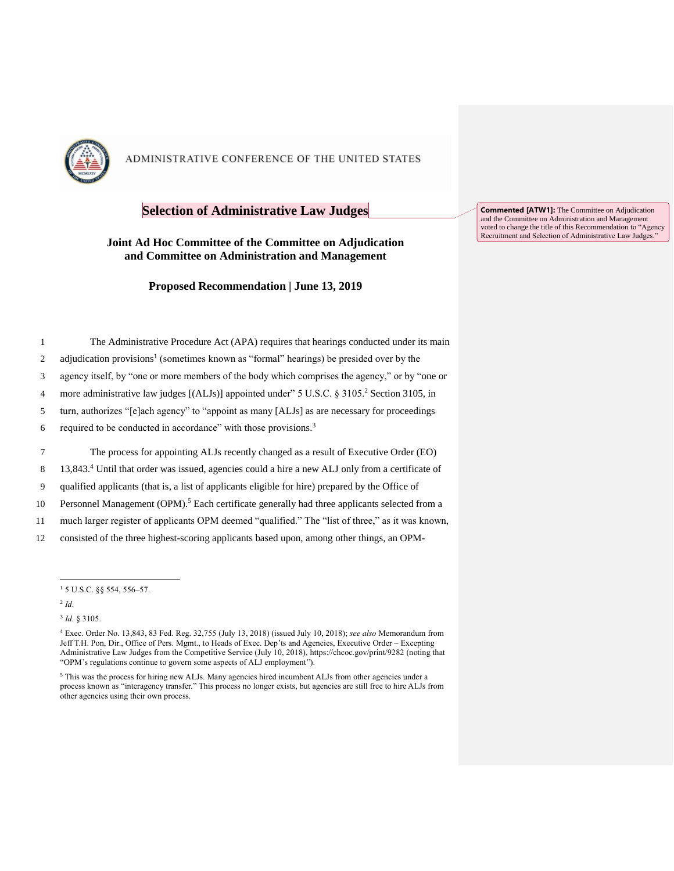

# **Selection of Administrative Law Judges**

#### **Joint Ad Hoc Committee of the Committee on Adjudication and Committee on Administration and Management**

**Proposed Recommendation | June 13, 2019**

|                | The Administrative Procedure Act (APA) requires that hearings conducted under its main                   |
|----------------|----------------------------------------------------------------------------------------------------------|
| 2              | adjudication provisions <sup>1</sup> (sometimes known as "formal" hearings) be presided over by the      |
| 3              | agency itself, by "one or more members of the body which comprises the agency," or by "one or            |
| $\overline{4}$ | more administrative law judges [(ALJs)] appointed under" 5 U.S.C. § 3105. <sup>2</sup> Section 3105, in  |
| 5              | turn, authorizes "[e]ach agency" to "appoint as many [ALJs] as are necessary for proceedings             |
| 6              | required to be conducted in accordance" with those provisions. <sup>3</sup>                              |
| 7              | The process for appointing ALJs recently changed as a result of Executive Order (EO)                     |
| 8              | 13,843.4 Until that order was issued, agencies could a hire a new ALJ only from a certificate of         |
| 9              | qualified applicants (that is, a list of applicants eligible for hire) prepared by the Office of         |
| 10             | Personnel Management (OPM). <sup>5</sup> Each certificate generally had three applicants selected from a |

11 much larger register of applicants OPM deemed "qualified." The "list of three," as it was known,

12 consisted of the three highest-scoring applicants based upon, among other things, an OPM-

j

3 *Id.* § 3105.

**Commented [ATW1]:** The Committee on Adjudication and the Committee on Administration and Management voted to change the title of this Recommendation to "Agency Recruitment and Selection of Administrative Law Judges."

<sup>1</sup> 5 U.S.C. §§ 554, 556–57.

<sup>2</sup> *Id*.

<sup>4</sup> Exec. Order No. 13,843, 83 Fed. Reg. 32,755 (July 13, 2018) (issued July 10, 2018); *see also* Memorandum from Jeff T.H. Pon, Dir., Office of Pers. Mgmt., to Heads of Exec. Dep'ts and Agencies, Executive Order – Excepting Administrative Law Judges from the Competitive Service (July 10, 2018), https://chcoc.gov/print/9282 (noting that "OPM's regulations continue to govern some aspects of ALJ employment").

<sup>&</sup>lt;sup>5</sup> This was the process for hiring new ALJs. Many agencies hired incumbent ALJs from other agencies under a process known as "interagency transfer." This process no longer exists, but agencies are still free to hire ALJs from other agencies using their own process.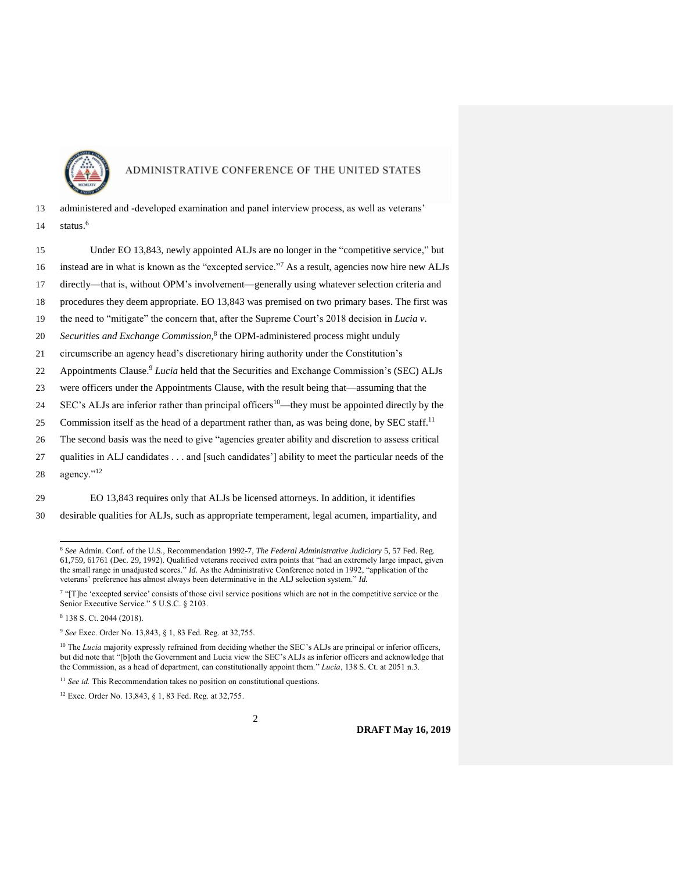

- 13 administered and -developed examination and panel interview process, as well as veterans' status.<sup>6</sup> 14
- 15 Under EO 13,843, newly appointed ALJs are no longer in the "competitive service," but 16 instead are in what is known as the "excepted service."<sup>7</sup> As a result, agencies now hire new ALJs 17 directly—that is, without OPM's involvement—generally using whatever selection criteria and 18 procedures they deem appropriate. EO 13,843 was premised on two primary bases. The first was 19 the need to "mitigate" the concern that, after the Supreme Court's 2018 decision in *Lucia v.*  20 Securities and Exchange Commission,<sup>8</sup> the OPM-administered process might unduly 21 circumscribe an agency head's discretionary hiring authority under the Constitution's 22 Appointments Clause.<sup>9</sup> Lucia held that the Securities and Exchange Commission's (SEC) ALJs 23 were officers under the Appointments Clause, with the result being that—assuming that the 24 SEC's ALJs are inferior rather than principal officers<sup>10</sup>—they must be appointed directly by the 25 Commission itself as the head of a department rather than, as was being done, by SEC staff.<sup>11</sup> 26 The second basis was the need to give "agencies greater ability and discretion to assess critical
- 27 qualities in ALJ candidates . . . and [such candidates'] ability to meet the particular needs of the 28 agency."<sup>12</sup>

29 EO 13,843 requires only that ALJs be licensed attorneys. In addition, it identifies

30 desirable qualities for ALJs, such as appropriate temperament, legal acumen, impartiality, and

<sup>8</sup> 138 S. Ct. 2044 (2018).

 $\overline{a}$ 

<sup>6</sup> *See* Admin. Conf. of the U.S., Recommendation 1992-7, *The Federal Administrative Judiciary* 5, 57 Fed. Reg. 61,759, 61761 (Dec. 29, 1992). Qualified veterans received extra points that "had an extremely large impact, given the small range in unadjusted scores." *Id.* As the Administrative Conference noted in 1992, "application of the veterans' preference has almost always been determinative in the ALJ selection system." *Id.* 

<sup>&</sup>lt;sup>7</sup> "[T]he 'excepted service' consists of those civil service positions which are not in the competitive service or the Senior Executive Service." 5 U.S.C. § 2103.

<sup>9</sup> *See* Exec. Order No. 13,843, § 1, 83 Fed. Reg. at 32,755.

<sup>&</sup>lt;sup>10</sup> The *Lucia* majority expressly refrained from deciding whether the SEC's ALJs are principal or inferior officers, but did note that "[b]oth the Government and Lucia view the SEC's ALJs as inferior officers and acknowledge that the Commission, as a head of department, can constitutionally appoint them." *Lucia*, 138 S. Ct. at 2051 n.3.

<sup>&</sup>lt;sup>11</sup> See id. This Recommendation takes no position on constitutional questions.

<sup>12</sup> Exec. Order No. 13,843, § 1, 83 Fed. Reg. at 32,755.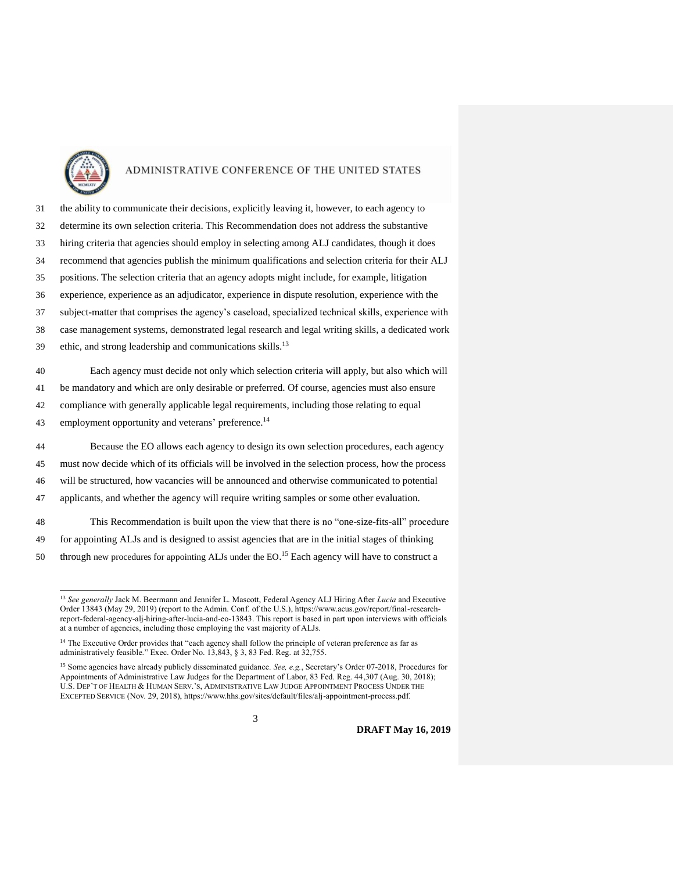

 $\overline{a}$ 

## ADMINISTRATIVE CONFERENCE OF THE UNITED STATES

 the ability to communicate their decisions, explicitly leaving it, however, to each agency to determine its own selection criteria. This Recommendation does not address the substantive hiring criteria that agencies should employ in selecting among ALJ candidates, though it does recommend that agencies publish the minimum qualifications and selection criteria for their ALJ positions. The selection criteria that an agency adopts might include, for example, litigation experience, experience as an adjudicator, experience in dispute resolution, experience with the subject-matter that comprises the agency's caseload, specialized technical skills, experience with case management systems, demonstrated legal research and legal writing skills, a dedicated work 39 ethic, and strong leadership and communications skills.<sup>13</sup> Each agency must decide not only which selection criteria will apply, but also which will be mandatory and which are only desirable or preferred. Of course, agencies must also ensure

- 42 compliance with generally applicable legal requirements, including those relating to equal
- 43 employment opportunity and veterans' preference.<sup>14</sup>

 Because the EO allows each agency to design its own selection procedures, each agency must now decide which of its officials will be involved in the selection process, how the process will be structured, how vacancies will be announced and otherwise communicated to potential applicants, and whether the agency will require writing samples or some other evaluation.

48 This Recommendation is built upon the view that there is no "one-size-fits-all" procedure 49 for appointing ALJs and is designed to assist agencies that are in the initial stages of thinking 50 through new procedures for appointing ALJs under the  $EO^{15}$  Each agency will have to construct a

<sup>13</sup> *See generally* Jack M. Beermann and Jennifer L. Mascott, Federal Agency ALJ Hiring After *Lucia* and Executive Order 13843 (May 29, 2019) (report to the Admin. Conf. of the U.S.), https://www.acus.gov/report/final-researchreport-federal-agency-alj-hiring-after-lucia-and-eo-13843. This report is based in part upon interviews with officials at a number of agencies, including those employing the vast majority of ALJs.

<sup>&</sup>lt;sup>14</sup> The Executive Order provides that "each agency shall follow the principle of veteran preference as far as administratively feasible." Exec. Order No. 13,843, § 3, 83 Fed. Reg. at 32,755.

<sup>&</sup>lt;sup>15</sup> Some agencies have already publicly disseminated guidance. *See, e.g.*, Secretary's Order 07-2018, Procedures for Appointments of Administrative Law Judges for the Department of Labor, 83 Fed. Reg. 44,307 (Aug. 30, 2018); U.S. DEP'T OF HEALTH & HUMAN SERV.'S, ADMINISTRATIVE LAW JUDGE APPOINTMENT PROCESS UNDER THE EXCEPTED SERVICE (Nov. 29, 2018), https://www.hhs.gov/sites/default/files/alj-appointment-process.pdf.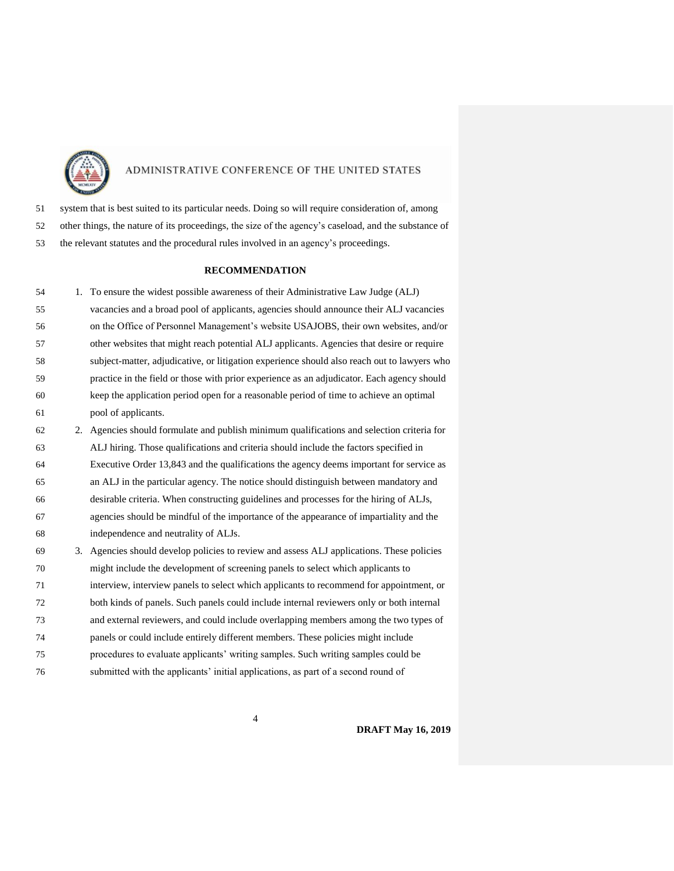

system that is best suited to its particular needs. Doing so will require consideration of, among

- other things, the nature of its proceedings, the size of the agency's caseload, and the substance of
- the relevant statutes and the procedural rules involved in an agency's proceedings.

#### **RECOMMENDATION**

| 54 |    | 1. To ensure the widest possible awareness of their Administrative Law Judge (ALJ)          |
|----|----|---------------------------------------------------------------------------------------------|
| 55 |    | vacancies and a broad pool of applicants, agencies should announce their ALJ vacancies      |
| 56 |    | on the Office of Personnel Management's website USAJOBS, their own websites, and/or         |
| 57 |    | other websites that might reach potential ALJ applicants. Agencies that desire or require   |
| 58 |    | subject-matter, adjudicative, or litigation experience should also reach out to lawyers who |
| 59 |    | practice in the field or those with prior experience as an adjudicator. Each agency should  |
| 60 |    | keep the application period open for a reasonable period of time to achieve an optimal      |
| 61 |    | pool of applicants.                                                                         |
| 62 | 2. | Agencies should formulate and publish minimum qualifications and selection criteria for     |
| 63 |    | ALJ hiring. Those qualifications and criteria should include the factors specified in       |
| 64 |    | Executive Order 13,843 and the qualifications the agency deems important for service as     |
| 65 |    | an ALJ in the particular agency. The notice should distinguish between mandatory and        |
| 66 |    | desirable criteria. When constructing guidelines and processes for the hiring of ALJs,      |
| 67 |    | agencies should be mindful of the importance of the appearance of impartiality and the      |
| 68 |    | independence and neutrality of ALJs.                                                        |
| 69 | 3. | Agencies should develop policies to review and assess ALJ applications. These policies      |
| 70 |    | might include the development of screening panels to select which applicants to             |
| 71 |    | interview, interview panels to select which applicants to recommend for appointment, or     |
| 72 |    | both kinds of panels. Such panels could include internal reviewers only or both internal    |
|    |    |                                                                                             |

- and external reviewers, and could include overlapping members among the two types of panels or could include entirely different members. These policies might include
- procedures to evaluate applicants' writing samples. Such writing samples could be
- submitted with the applicants' initial applications, as part of a second round of

**DRAFT May 16, 2019**